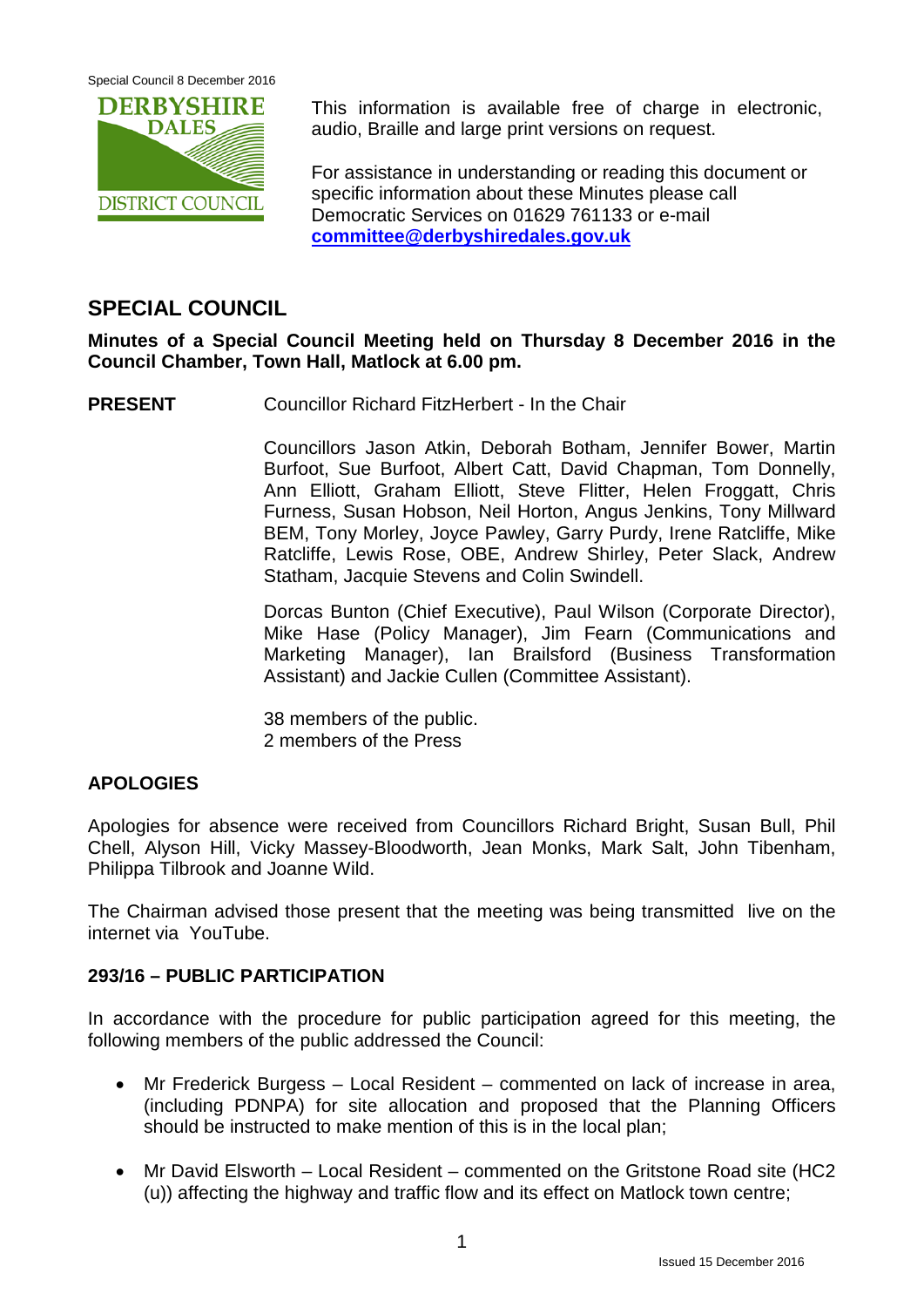Special Council 8 December 2016



This information is available free of charge in electronic, audio, Braille and large print versions on request.

For assistance in understanding or reading this document or specific information about these Minutes please call Democratic Services on 01629 761133 or e-mail **[committee@derbyshiredales.gov.uk](mailto:committee@derbyshiredales.gov.uk)**

# **SPECIAL COUNCIL**

**Minutes of a Special Council Meeting held on Thursday 8 December 2016 in the Council Chamber, Town Hall, Matlock at 6.00 pm.**

**PRESENT** Councillor Richard FitzHerbert - In the Chair

Councillors Jason Atkin, Deborah Botham, Jennifer Bower, Martin Burfoot, Sue Burfoot, Albert Catt, David Chapman, Tom Donnelly, Ann Elliott, Graham Elliott, Steve Flitter, Helen Froggatt, Chris Furness, Susan Hobson, Neil Horton, Angus Jenkins, Tony Millward BEM, Tony Morley, Joyce Pawley, Garry Purdy, Irene Ratcliffe, Mike Ratcliffe, Lewis Rose, OBE, Andrew Shirley, Peter Slack, Andrew Statham, Jacquie Stevens and Colin Swindell.

Dorcas Bunton (Chief Executive), Paul Wilson (Corporate Director), Mike Hase (Policy Manager), Jim Fearn (Communications and Marketing Manager), Ian Brailsford (Business Transformation Assistant) and Jackie Cullen (Committee Assistant).

38 members of the public. 2 members of the Press

### **APOLOGIES**

Apologies for absence were received from Councillors Richard Bright, Susan Bull, Phil Chell, Alyson Hill, Vicky Massey-Bloodworth, Jean Monks, Mark Salt, John Tibenham, Philippa Tilbrook and Joanne Wild.

The Chairman advised those present that the meeting was being transmitted live on the internet via YouTube.

#### **293/16 – PUBLIC PARTICIPATION**

In accordance with the procedure for public participation agreed for this meeting, the following members of the public addressed the Council:

- Mr Frederick Burgess Local Resident commented on lack of increase in area, (including PDNPA) for site allocation and proposed that the Planning Officers should be instructed to make mention of this is in the local plan;
- Mr David Elsworth Local Resident commented on the Gritstone Road site (HC2 (u)) affecting the highway and traffic flow and its effect on Matlock town centre;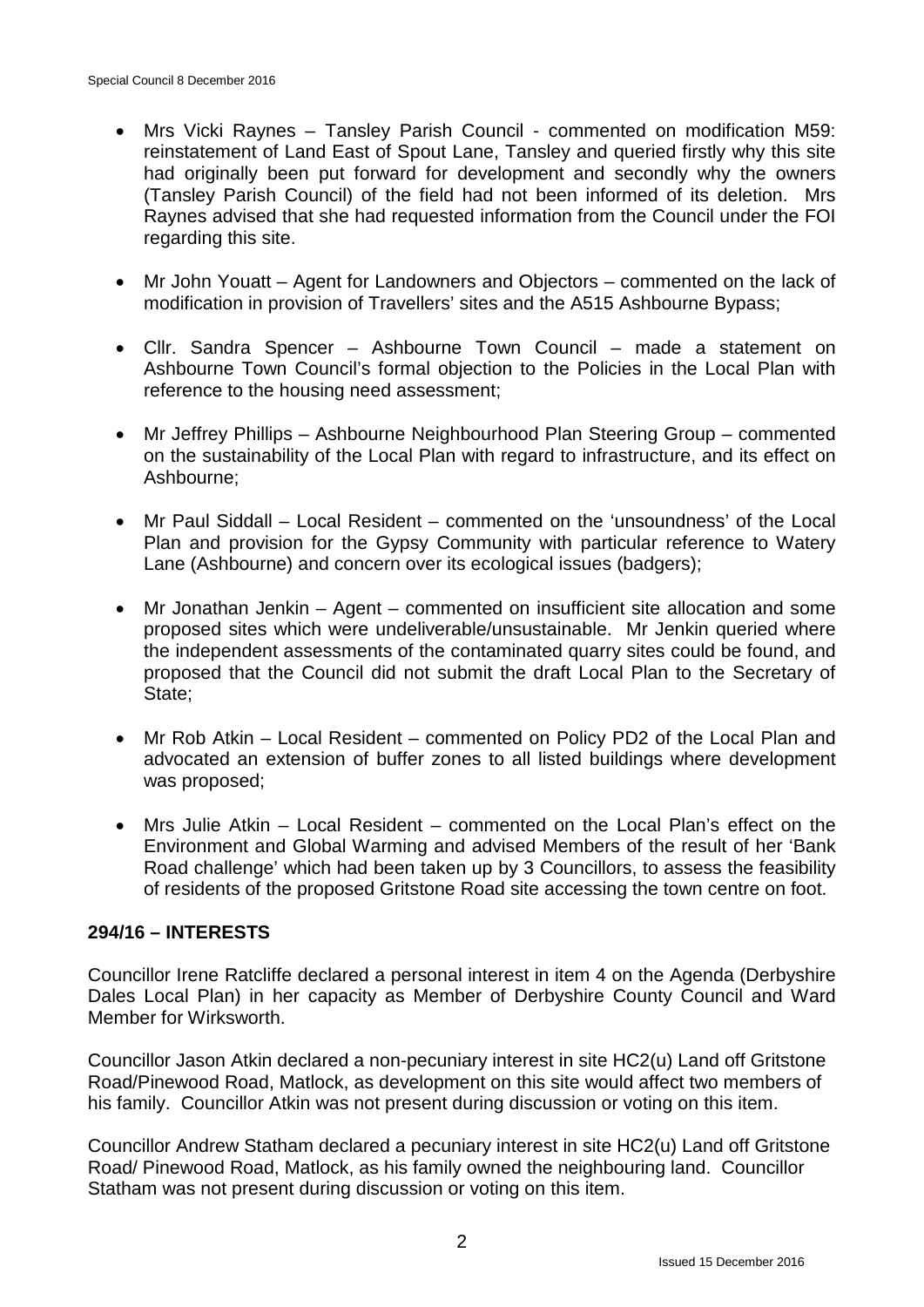- Mrs Vicki Raynes Tansley Parish Council commented on modification M59: reinstatement of Land East of Spout Lane, Tansley and queried firstly why this site had originally been put forward for development and secondly why the owners (Tansley Parish Council) of the field had not been informed of its deletion. Mrs Raynes advised that she had requested information from the Council under the FOI regarding this site.
- Mr John Youatt Agent for Landowners and Objectors commented on the lack of modification in provision of Travellers' sites and the A515 Ashbourne Bypass;
- Cllr. Sandra Spencer Ashbourne Town Council made a statement on Ashbourne Town Council's formal objection to the Policies in the Local Plan with reference to the housing need assessment;
- Mr Jeffrey Phillips Ashbourne Neighbourhood Plan Steering Group commented on the sustainability of the Local Plan with regard to infrastructure, and its effect on Ashbourne;
- Mr Paul Siddall Local Resident commented on the 'unsoundness' of the Local Plan and provision for the Gypsy Community with particular reference to Watery Lane (Ashbourne) and concern over its ecological issues (badgers);
- Mr Jonathan Jenkin Agent commented on insufficient site allocation and some proposed sites which were undeliverable/unsustainable. Mr Jenkin queried where the independent assessments of the contaminated quarry sites could be found, and proposed that the Council did not submit the draft Local Plan to the Secretary of State;
- Mr Rob Atkin Local Resident commented on Policy PD2 of the Local Plan and advocated an extension of buffer zones to all listed buildings where development was proposed;
- Mrs Julie Atkin Local Resident commented on the Local Plan's effect on the Environment and Global Warming and advised Members of the result of her 'Bank Road challenge' which had been taken up by 3 Councillors, to assess the feasibility of residents of the proposed Gritstone Road site accessing the town centre on foot.

#### **294/16 – INTERESTS**

Councillor Irene Ratcliffe declared a personal interest in item 4 on the Agenda (Derbyshire Dales Local Plan) in her capacity as Member of Derbyshire County Council and Ward Member for Wirksworth.

Councillor Jason Atkin declared a non-pecuniary interest in site HC2(u) Land off Gritstone Road/Pinewood Road, Matlock, as development on this site would affect two members of his family. Councillor Atkin was not present during discussion or voting on this item.

Councillor Andrew Statham declared a pecuniary interest in site HC2(u) Land off Gritstone Road/ Pinewood Road, Matlock, as his family owned the neighbouring land. Councillor Statham was not present during discussion or voting on this item.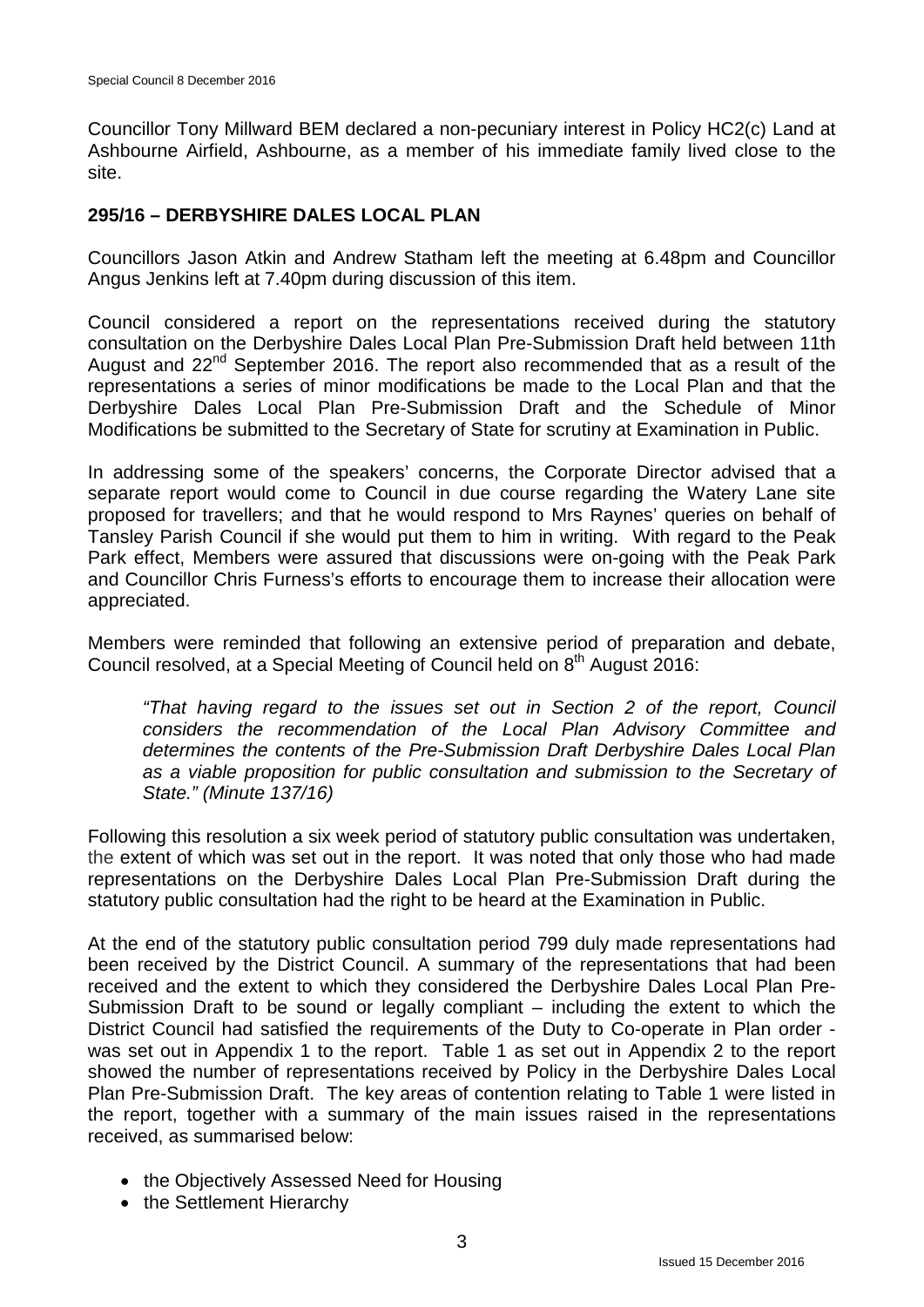Councillor Tony Millward BEM declared a non-pecuniary interest in Policy HC2(c) Land at Ashbourne Airfield, Ashbourne, as a member of his immediate family lived close to the site.

#### **295/16 – DERBYSHIRE DALES LOCAL PLAN**

Councillors Jason Atkin and Andrew Statham left the meeting at 6.48pm and Councillor Angus Jenkins left at 7.40pm during discussion of this item.

Council considered a report on the representations received during the statutory consultation on the Derbyshire Dales Local Plan Pre-Submission Draft held between 11th August and 22<sup>nd</sup> September 2016. The report also recommended that as a result of the representations a series of minor modifications be made to the Local Plan and that the Derbyshire Dales Local Plan Pre-Submission Draft and the Schedule of Minor Modifications be submitted to the Secretary of State for scrutiny at Examination in Public.

In addressing some of the speakers' concerns, the Corporate Director advised that a separate report would come to Council in due course regarding the Watery Lane site proposed for travellers; and that he would respond to Mrs Raynes' queries on behalf of Tansley Parish Council if she would put them to him in writing. With regard to the Peak Park effect, Members were assured that discussions were on-going with the Peak Park and Councillor Chris Furness's efforts to encourage them to increase their allocation were appreciated.

Members were reminded that following an extensive period of preparation and debate, Council resolved, at a Special Meeting of Council held on 8<sup>th</sup> August 2016:

*"That having regard to the issues set out in Section 2 of the report, Council considers the recommendation of the Local Plan Advisory Committee and determines the contents of the Pre-Submission Draft Derbyshire Dales Local Plan as a viable proposition for public consultation and submission to the Secretary of State." (Minute 137/16)*

Following this resolution a six week period of statutory public consultation was undertaken, the extent of which was set out in the report. It was noted that only those who had made representations on the Derbyshire Dales Local Plan Pre-Submission Draft during the statutory public consultation had the right to be heard at the Examination in Public.

At the end of the statutory public consultation period 799 duly made representations had been received by the District Council. A summary of the representations that had been received and the extent to which they considered the Derbyshire Dales Local Plan Pre-Submission Draft to be sound or legally compliant – including the extent to which the District Council had satisfied the requirements of the Duty to Co-operate in Plan order was set out in Appendix 1 to the report. Table 1 as set out in Appendix 2 to the report showed the number of representations received by Policy in the Derbyshire Dales Local Plan Pre-Submission Draft. The key areas of contention relating to Table 1 were listed in the report, together with a summary of the main issues raised in the representations received, as summarised below:

- the Objectively Assessed Need for Housing
- the Settlement Hierarchy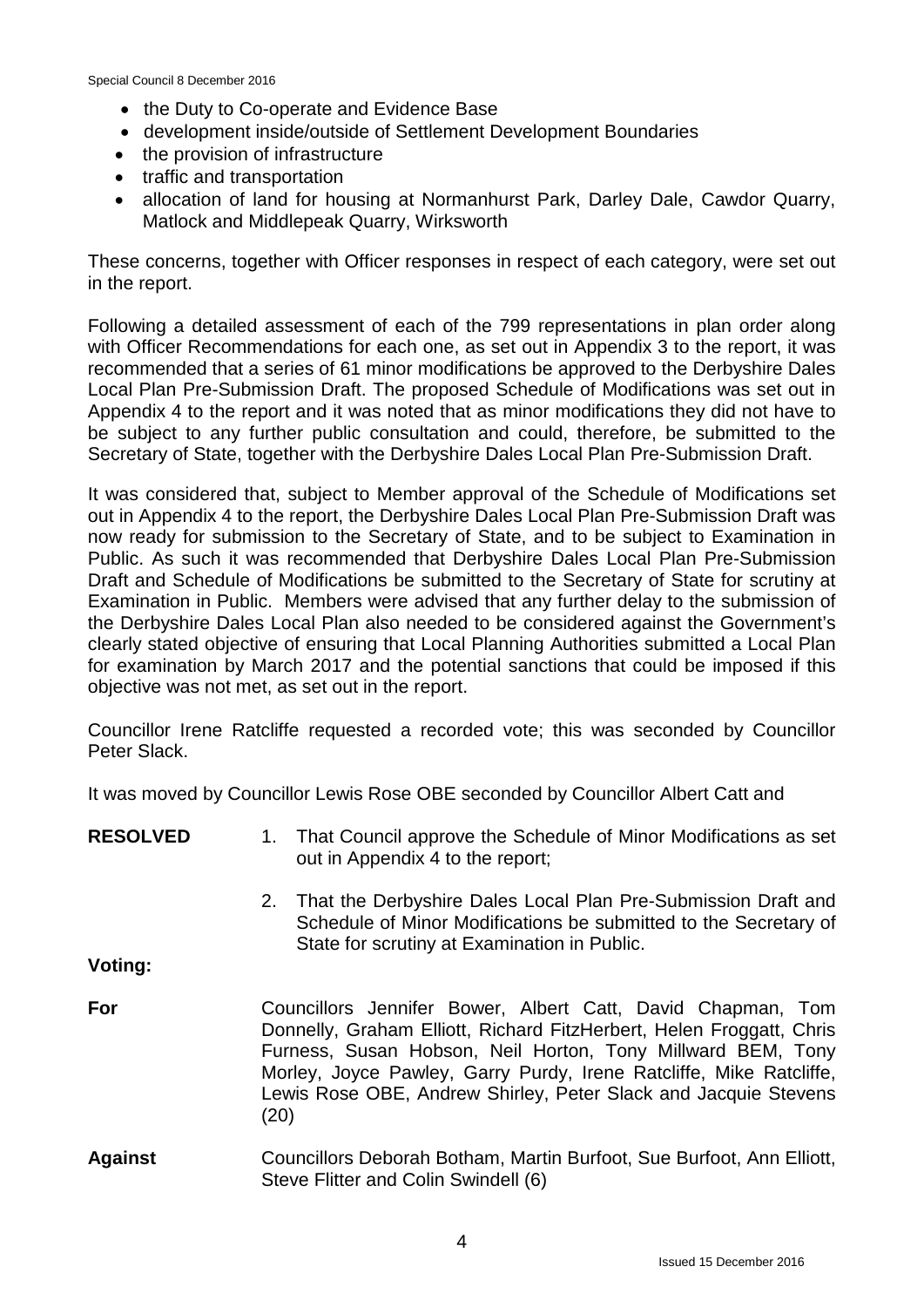Special Council 8 December 2016

- the Duty to Co-operate and Evidence Base
- development inside/outside of Settlement Development Boundaries
- the provision of infrastructure
- traffic and transportation
- allocation of land for housing at Normanhurst Park, Darley Dale, Cawdor Quarry, Matlock and Middlepeak Quarry, Wirksworth

These concerns, together with Officer responses in respect of each category, were set out in the report.

Following a detailed assessment of each of the 799 representations in plan order along with Officer Recommendations for each one, as set out in Appendix 3 to the report, it was recommended that a series of 61 minor modifications be approved to the Derbyshire Dales Local Plan Pre-Submission Draft. The proposed Schedule of Modifications was set out in Appendix 4 to the report and it was noted that as minor modifications they did not have to be subject to any further public consultation and could, therefore, be submitted to the Secretary of State, together with the Derbyshire Dales Local Plan Pre-Submission Draft.

It was considered that, subject to Member approval of the Schedule of Modifications set out in Appendix 4 to the report, the Derbyshire Dales Local Plan Pre-Submission Draft was now ready for submission to the Secretary of State, and to be subject to Examination in Public. As such it was recommended that Derbyshire Dales Local Plan Pre-Submission Draft and Schedule of Modifications be submitted to the Secretary of State for scrutiny at Examination in Public. Members were advised that any further delay to the submission of the Derbyshire Dales Local Plan also needed to be considered against the Government's clearly stated objective of ensuring that Local Planning Authorities submitted a Local Plan for examination by March 2017 and the potential sanctions that could be imposed if this objective was not met, as set out in the report.

Councillor Irene Ratcliffe requested a recorded vote; this was seconded by Councillor Peter Slack.

It was moved by Councillor Lewis Rose OBE seconded by Councillor Albert Catt and

**RESOLVED Voting: For Against** 1. That Council approve the Schedule of Minor Modifications as set out in Appendix 4 to the report; 2. That the Derbyshire Dales Local Plan Pre-Submission Draft and Schedule of Minor Modifications be submitted to the Secretary of State for scrutiny at Examination in Public. Councillors Jennifer Bower, Albert Catt, David Chapman, Tom Donnelly, Graham Elliott, Richard FitzHerbert, Helen Froggatt, Chris Furness, Susan Hobson, Neil Horton, Tony Millward BEM, Tony Morley, Joyce Pawley, Garry Purdy, Irene Ratcliffe, Mike Ratcliffe, Lewis Rose OBE, Andrew Shirley, Peter Slack and Jacquie Stevens (20) Councillors Deborah Botham, Martin Burfoot, Sue Burfoot, Ann Elliott, Steve Flitter and Colin Swindell (6)